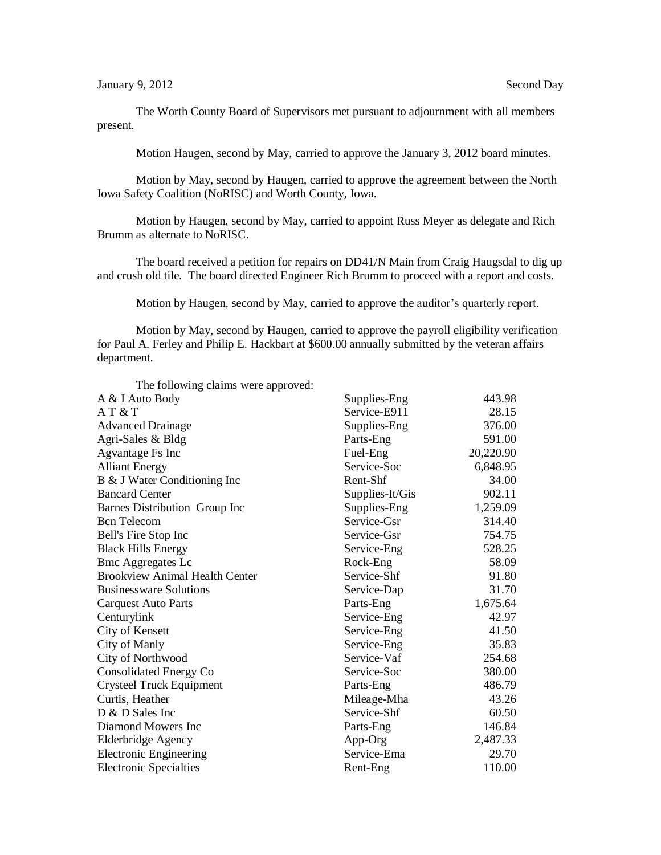The Worth County Board of Supervisors met pursuant to adjournment with all members present.

Motion Haugen, second by May, carried to approve the January 3, 2012 board minutes.

Motion by May, second by Haugen, carried to approve the agreement between the North Iowa Safety Coalition (NoRISC) and Worth County, Iowa.

Motion by Haugen, second by May, carried to appoint Russ Meyer as delegate and Rich Brumm as alternate to NoRISC.

The board received a petition for repairs on DD41/N Main from Craig Haugsdal to dig up and crush old tile. The board directed Engineer Rich Brumm to proceed with a report and costs.

Motion by Haugen, second by May, carried to approve the auditor's quarterly report.

Motion by May, second by Haugen, carried to approve the payroll eligibility verification for Paul A. Ferley and Philip E. Hackbart at \$600.00 annually submitted by the veteran affairs department.

| The following claims were approved:   |                 |           |
|---------------------------------------|-----------------|-----------|
| A & I Auto Body                       | Supplies-Eng    | 443.98    |
| AT & T                                | Service-E911    | 28.15     |
| <b>Advanced Drainage</b>              | Supplies-Eng    | 376.00    |
| Agri-Sales & Bldg                     | Parts-Eng       | 591.00    |
| Agvantage Fs Inc                      | Fuel-Eng        | 20,220.90 |
| <b>Alliant Energy</b>                 | Service-Soc     | 6,848.95  |
| B & J Water Conditioning Inc          | Rent-Shf        | 34.00     |
| <b>Bancard Center</b>                 | Supplies-It/Gis | 902.11    |
| Barnes Distribution Group Inc         | Supplies-Eng    | 1,259.09  |
| <b>Bcn</b> Telecom                    | Service-Gsr     | 314.40    |
| Bell's Fire Stop Inc                  | Service-Gsr     | 754.75    |
| <b>Black Hills Energy</b>             | Service-Eng     | 528.25    |
| <b>Bmc Aggregates Lc</b>              | Rock-Eng        | 58.09     |
| <b>Brookview Animal Health Center</b> | Service-Shf     | 91.80     |
| <b>Businessware Solutions</b>         | Service-Dap     | 31.70     |
| <b>Carquest Auto Parts</b>            | Parts-Eng       | 1,675.64  |
| Centurylink                           | Service-Eng     | 42.97     |
| City of Kensett                       | Service-Eng     | 41.50     |
| City of Manly                         | Service-Eng     | 35.83     |
| City of Northwood                     | Service-Vaf     | 254.68    |
| Consolidated Energy Co                | Service-Soc     | 380.00    |
| <b>Crysteel Truck Equipment</b>       | Parts-Eng       | 486.79    |
| Curtis, Heather                       | Mileage-Mha     | 43.26     |
| D & D Sales Inc                       | Service-Shf     | 60.50     |
| Diamond Mowers Inc                    | Parts-Eng       | 146.84    |
| <b>Elderbridge Agency</b>             | App-Org         | 2,487.33  |
| <b>Electronic Engineering</b>         | Service-Ema     | 29.70     |
| <b>Electronic Specialties</b>         | Rent-Eng        | 110.00    |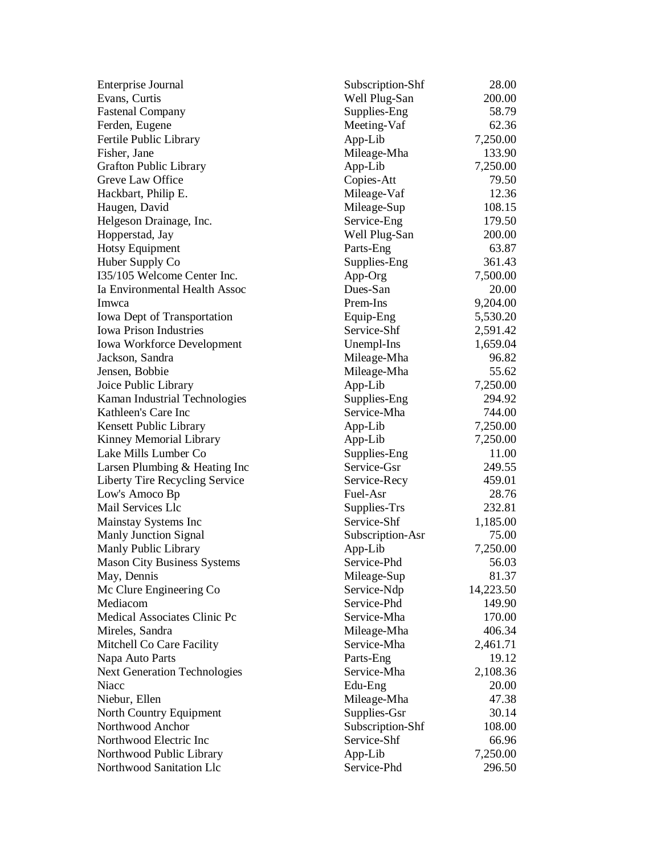| Enterprise Journal                  | Subscription-Shf | 28.00     |
|-------------------------------------|------------------|-----------|
| Evans, Curtis                       | Well Plug-San    | 200.00    |
| <b>Fastenal Company</b>             | Supplies-Eng     | 58.79     |
| Ferden, Eugene                      | Meeting-Vaf      | 62.36     |
| Fertile Public Library              | App-Lib          | 7,250.00  |
| Fisher, Jane                        | Mileage-Mha      | 133.90    |
| <b>Grafton Public Library</b>       | App-Lib          | 7,250.00  |
| Greve Law Office                    | Copies-Att       | 79.50     |
| Hackbart, Philip E.                 | Mileage-Vaf      | 12.36     |
| Haugen, David                       | Mileage-Sup      | 108.15    |
| Helgeson Drainage, Inc.             | Service-Eng      | 179.50    |
| Hopperstad, Jay                     | Well Plug-San    | 200.00    |
| <b>Hotsy Equipment</b>              | Parts-Eng        | 63.87     |
| Huber Supply Co                     | Supplies-Eng     | 361.43    |
| I35/105 Welcome Center Inc.         | App-Org          | 7,500.00  |
| Ia Environmental Health Assoc       | Dues-San         | 20.00     |
| Imwca                               | Prem-Ins         | 9,204.00  |
| Iowa Dept of Transportation         | Equip-Eng        | 5,530.20  |
| <b>Iowa Prison Industries</b>       | Service-Shf      | 2,591.42  |
| Iowa Workforce Development          | Unempl-Ins       | 1,659.04  |
| Jackson, Sandra                     | Mileage-Mha      | 96.82     |
| Jensen, Bobbie                      | Mileage-Mha      | 55.62     |
| Joice Public Library                | App-Lib          | 7,250.00  |
| Kaman Industrial Technologies       | Supplies-Eng     | 294.92    |
| Kathleen's Care Inc                 | Service-Mha      | 744.00    |
| Kensett Public Library              | App-Lib          | 7,250.00  |
| Kinney Memorial Library             | App-Lib          | 7,250.00  |
| Lake Mills Lumber Co                | Supplies-Eng     | 11.00     |
| Larsen Plumbing & Heating Inc       | Service-Gsr      | 249.55    |
| Liberty Tire Recycling Service      | Service-Recy     | 459.01    |
| Low's Amoco Bp                      | Fuel-Asr         | 28.76     |
| Mail Services Llc                   | Supplies-Trs     | 232.81    |
| Mainstay Systems Inc                | Service-Shf      | 1,185.00  |
| <b>Manly Junction Signal</b>        | Subscription-Asr | 75.00     |
| Manly Public Library                | App-Lib          | 7,250.00  |
| <b>Mason City Business Systems</b>  | Service-Phd      | 56.03     |
| May, Dennis                         | Mileage-Sup      | 81.37     |
| Mc Clure Engineering Co             | Service-Ndp      | 14,223.50 |
| Mediacom                            | Service-Phd      | 149.90    |
| Medical Associates Clinic Pc        | Service-Mha      | 170.00    |
| Mireles, Sandra                     | Mileage-Mha      | 406.34    |
| Mitchell Co Care Facility           | Service-Mha      | 2,461.71  |
| Napa Auto Parts                     | Parts-Eng        | 19.12     |
| <b>Next Generation Technologies</b> | Service-Mha      | 2,108.36  |
| Niacc                               | Edu-Eng          | 20.00     |
| Niebur, Ellen                       | Mileage-Mha      | 47.38     |
| North Country Equipment             | Supplies-Gsr     | 30.14     |
| Northwood Anchor                    | Subscription-Shf | 108.00    |
| Northwood Electric Inc              | Service-Shf      | 66.96     |
| Northwood Public Library            | App-Lib          | 7,250.00  |
| Northwood Sanitation Llc            | Service-Phd      | 296.50    |